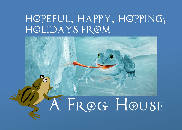## hopeful, happy, hopping, holidays from

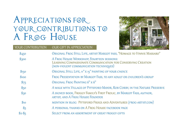## Appreciations for your contributions to A Frog House



YOUR CONTRIBUTION OUR GIFT IN APPRECIATION

| \$450           | ORIGINAL FROG STILL LIFE, ARTIST MARGOT FASS, "HOMAGE TO VINNIE MASSARO"                                                                            |
|-----------------|-----------------------------------------------------------------------------------------------------------------------------------------------------|
| \$300           | A Frog House Workshop, Fourteen sessions:<br>LEARNING COMPASSIONATE COMMUNICATION FOR CONSERVING CREATION<br>(NON-VIOLENT COMMUNICATION TECHNIQUES) |
| \$150           | ORIGINAL STILL LIFE, 11" X 15" PAINTING OF YOUR CHOICE                                                                                              |
| \$100           | FROG PRESENTATION BY MARGOT FASS, TO ANY ADULT OR CHILDREN'S GROUP                                                                                  |
| $\frac{$75}$    | ORIGINAL FROG PAINTING 6" X 6"                                                                                                                      |
| \$50            | A WALK WITH VILLAGE OF PITTSFORD MAYOR, ROB CORBY, IN THE NATURE PRESERVE                                                                           |
| $\frac{1}{2}30$ | A SIGNED BOOK, FROGGY FAMILY'S FIRST FROLIC, BY MARGOT FASS, AUTHOR,<br><b>ARTIST, AND A FROG HOUSE FOUNDER</b>                                     |
| \$10            | MENTION IN BLOG: PITTSFORD FROGS AND ADVENTURES (FROG-ARTIST.COM)                                                                                   |
| $\mathcal{S}_5$ | A PERSONAL THANKS ON A FROG HOUSE FACEBOOK PAGE                                                                                                     |
| $$2 - $5$       | Select from an assortment of great froggy gifts                                                                                                     |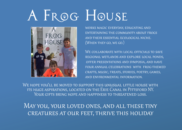## A FROG HOUSE



works magic everyday, educating and entertaining the community about frogs and their essential ecological niche. (When they go, we go.)

We collaborate with local officials to save regional wetlands and explore local ponds, offer presentations and symposia, and have four annual celebrations with frog-themed crafts, music, treats, stories, poetry, games, and environmental information.

WE HOPE YOU'LL BE MOVED TO SUPPORT THIS UNUSUAL LITTLE HOUSE WITH its huge aspirations, located on the Erie Canal in Pittsford NY. Your gifts bring hope and happiness to threatened loss.

May you, your loved ones, and all these tiny creatures at our feet, thrive this holiday